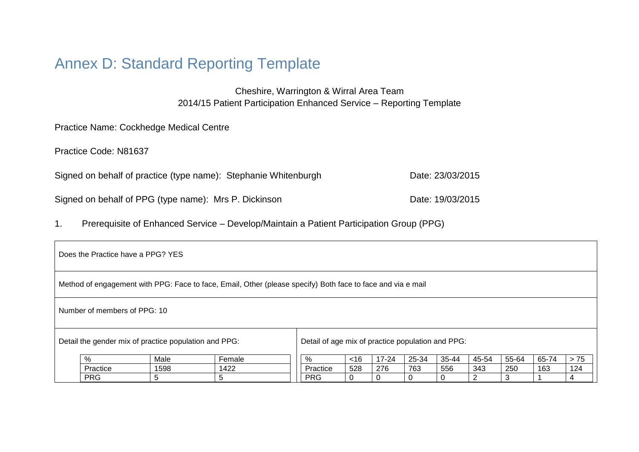# Annex D: Standard Reporting Template

Cheshire, Warrington & Wirral Area Team 2014/15 Patient Participation Enhanced Service – Reporting Template

Practice Name: Cockhedge Medical Centre

Practice Code: N81637

Signed on behalf of practice (type name): Stephanie Whitenburgh Date: 23/03/2015

Signed on behalf of PPG (type name): Mrs P. Dickinson Date: 19/03/2015

1. Prerequisite of Enhanced Service – Develop/Maintain a Patient Participation Group (PPG)

| Does the Practice have a PPG? YES                                                                           |            |      |        |            |     |           |       |       |       |       |       |       |
|-------------------------------------------------------------------------------------------------------------|------------|------|--------|------------|-----|-----------|-------|-------|-------|-------|-------|-------|
| Method of engagement with PPG: Face to face, Email, Other (please specify) Both face to face and via e mail |            |      |        |            |     |           |       |       |       |       |       |       |
| Number of members of PPG: 10                                                                                |            |      |        |            |     |           |       |       |       |       |       |       |
| Detail the gender mix of practice population and PPG:<br>Detail of age mix of practice population and PPG:  |            |      |        |            |     |           |       |       |       |       |       |       |
|                                                                                                             | %          | Male | Female | %          | ~16 | $17 - 24$ | 25-34 | 35-44 | 45-54 | 55-64 | 65-74 | $>75$ |
|                                                                                                             | Practice   | 1598 | 1422   | Practice   | 528 | 276       | 763   | 556   | 343   | 250   | 163   | 124   |
|                                                                                                             | <b>PRG</b> | 5    | 5      | <b>PRG</b> | 0   | 0         |       | 0     |       | 3     |       |       |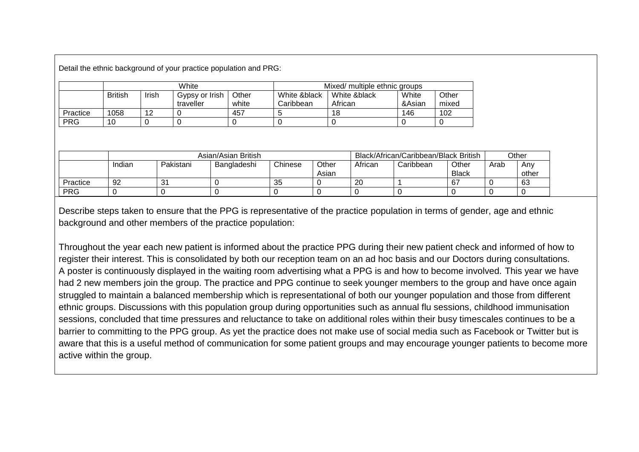Detail the ethnic background of your practice population and PRG:

|            |                |       | White                       |                | Mixed/ multiple ethnic groups |                         |                 |                |  |
|------------|----------------|-------|-----------------------------|----------------|-------------------------------|-------------------------|-----------------|----------------|--|
|            | <b>British</b> | Irish | Gypsy or Irish<br>traveller | Other<br>white | White &black<br>Caribbean     | White &black<br>African | White<br>&Asian | Other<br>mixed |  |
| Practice   | 1058           | 12    |                             | 457            |                               | 18                      | 146             | 102            |  |
| <b>PRG</b> | 10             |       |                             |                |                               |                         |                 |                |  |

|            | Asian/Asian British |           |             |         |       |         | Black/African/Caribbean/Black British |              |      | Other |  |
|------------|---------------------|-----------|-------------|---------|-------|---------|---------------------------------------|--------------|------|-------|--|
|            | Indian              | Pakistani | Bangladeshi | Chinese | Other | African | Caribbean                             | Other        | Arab | Anv   |  |
|            |                     |           |             |         | Asian |         |                                       | <b>Black</b> |      | other |  |
| Practice   | 92                  | 31        |             | 35      |       | 20      |                                       | 67           |      | 63    |  |
| <b>PRG</b> |                     |           |             |         |       |         |                                       |              |      |       |  |

Describe steps taken to ensure that the PPG is representative of the practice population in terms of gender, age and ethnic background and other members of the practice population:

Throughout the year each new patient is informed about the practice PPG during their new patient check and informed of how to register their interest. This is consolidated by both our reception team on an ad hoc basis and our Doctors during consultations. A poster is continuously displayed in the waiting room advertising what a PPG is and how to become involved. This year we have had 2 new members join the group. The practice and PPG continue to seek younger members to the group and have once again struggled to maintain a balanced membership which is representational of both our younger population and those from different ethnic groups. Discussions with this population group during opportunities such as annual flu sessions, childhood immunisation sessions, concluded that time pressures and reluctance to take on additional roles within their busy timescales continues to be a barrier to committing to the PPG group. As yet the practice does not make use of social media such as Facebook or Twitter but is aware that this is a useful method of communication for some patient groups and may encourage younger patients to become more active within the group.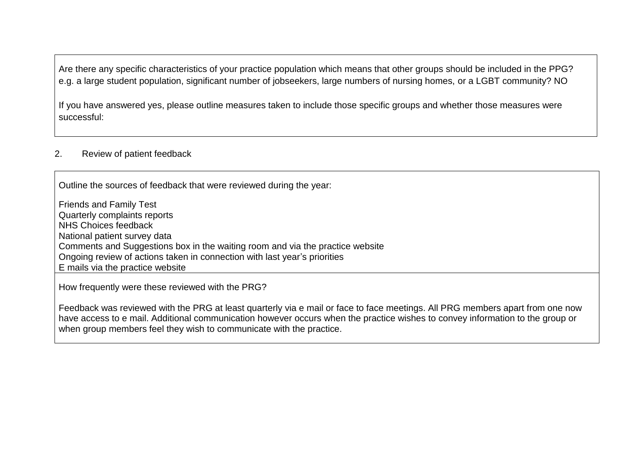Are there any specific characteristics of your practice population which means that other groups should be included in the PPG? e.g. a large student population, significant number of jobseekers, large numbers of nursing homes, or a LGBT community? NO

If you have answered yes, please outline measures taken to include those specific groups and whether those measures were successful:

#### 2. Review of patient feedback

Outline the sources of feedback that were reviewed during the year:

Friends and Family Test Quarterly complaints reports NHS Choices feedback National patient survey data Comments and Suggestions box in the waiting room and via the practice website Ongoing review of actions taken in connection with last year's priorities E mails via the practice website

How frequently were these reviewed with the PRG?

Feedback was reviewed with the PRG at least quarterly via e mail or face to face meetings. All PRG members apart from one now have access to e mail. Additional communication however occurs when the practice wishes to convey information to the group or when group members feel they wish to communicate with the practice.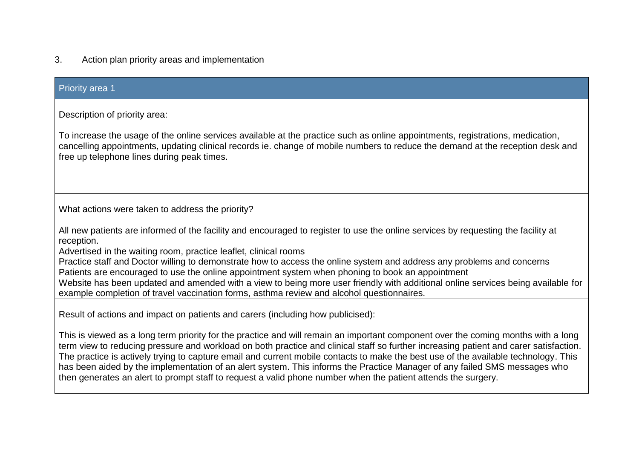# 3. Action plan priority areas and implementation

| <b>Priority area 1</b>                                                                                                                                                                                                                                                                                                                                                                                                                                                                                                                                                                                                                                                                                                                                                                                                                          |
|-------------------------------------------------------------------------------------------------------------------------------------------------------------------------------------------------------------------------------------------------------------------------------------------------------------------------------------------------------------------------------------------------------------------------------------------------------------------------------------------------------------------------------------------------------------------------------------------------------------------------------------------------------------------------------------------------------------------------------------------------------------------------------------------------------------------------------------------------|
| Description of priority area:<br>To increase the usage of the online services available at the practice such as online appointments, registrations, medication,<br>cancelling appointments, updating clinical records ie. change of mobile numbers to reduce the demand at the reception desk and<br>free up telephone lines during peak times.                                                                                                                                                                                                                                                                                                                                                                                                                                                                                                 |
| What actions were taken to address the priority?<br>All new patients are informed of the facility and encouraged to register to use the online services by requesting the facility at<br>reception.<br>Advertised in the waiting room, practice leaflet, clinical rooms<br>Practice staff and Doctor willing to demonstrate how to access the online system and address any problems and concerns<br>Patients are encouraged to use the online appointment system when phoning to book an appointment<br>Website has been updated and amended with a view to being more user friendly with additional online services being available for                                                                                                                                                                                                       |
| example completion of travel vaccination forms, asthma review and alcohol questionnaires.<br>Result of actions and impact on patients and carers (including how publicised):<br>This is viewed as a long term priority for the practice and will remain an important component over the coming months with a long<br>term view to reducing pressure and workload on both practice and clinical staff so further increasing patient and carer satisfaction.<br>The practice is actively trying to capture email and current mobile contacts to make the best use of the available technology. This<br>has been aided by the implementation of an alert system. This informs the Practice Manager of any failed SMS messages who<br>then generates an alert to prompt staff to request a valid phone number when the patient attends the surgery. |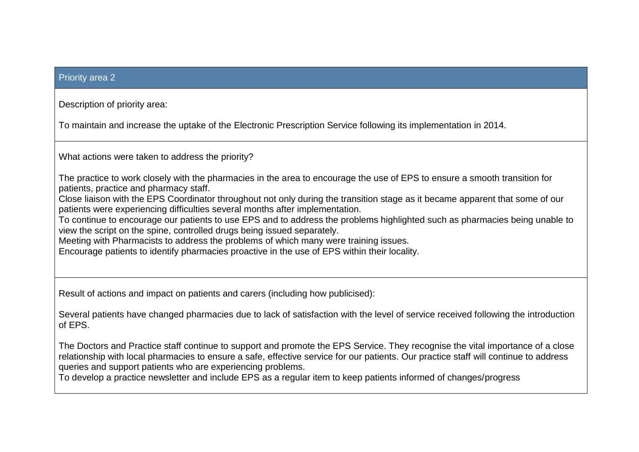#### Priority area 2

Description of priority area:

To maintain and increase the uptake of the Electronic Prescription Service following its implementation in 2014.

What actions were taken to address the priority?

The practice to work closely with the pharmacies in the area to encourage the use of EPS to ensure a smooth transition for patients, practice and pharmacy staff.

Close liaison with the EPS Coordinator throughout not only during the transition stage as it became apparent that some of our patients were experiencing difficulties several months after implementation.

To continue to encourage our patients to use EPS and to address the problems highlighted such as pharmacies being unable to view the script on the spine, controlled drugs being issued separately.

Meeting with Pharmacists to address the problems of which many were training issues.

Encourage patients to identify pharmacies proactive in the use of EPS within their locality.

Result of actions and impact on patients and carers (including how publicised):

Several patients have changed pharmacies due to lack of satisfaction with the level of service received following the introduction of EPS.

The Doctors and Practice staff continue to support and promote the EPS Service. They recognise the vital importance of a close relationship with local pharmacies to ensure a safe, effective service for our patients. Our practice staff will continue to address queries and support patients who are experiencing problems.

To develop a practice newsletter and include EPS as a regular item to keep patients informed of changes/progress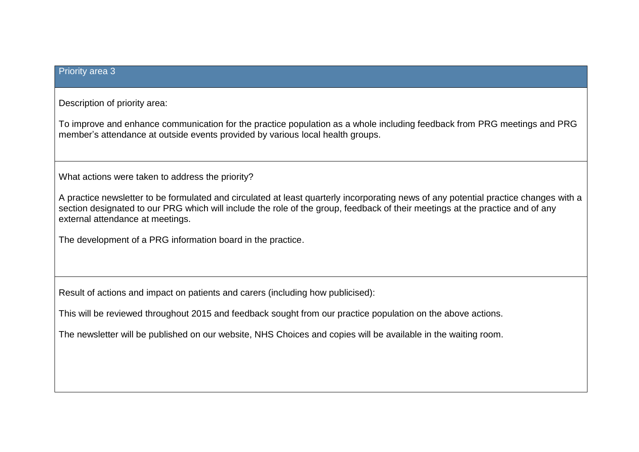## Priority area 3

Description of priority area:

To improve and enhance communication for the practice population as a whole including feedback from PRG meetings and PRG member's attendance at outside events provided by various local health groups.

What actions were taken to address the priority?

A practice newsletter to be formulated and circulated at least quarterly incorporating news of any potential practice changes with a section designated to our PRG which will include the role of the group, feedback of their meetings at the practice and of any external attendance at meetings.

The development of a PRG information board in the practice.

Result of actions and impact on patients and carers (including how publicised):

This will be reviewed throughout 2015 and feedback sought from our practice population on the above actions.

The newsletter will be published on our website, NHS Choices and copies will be available in the waiting room.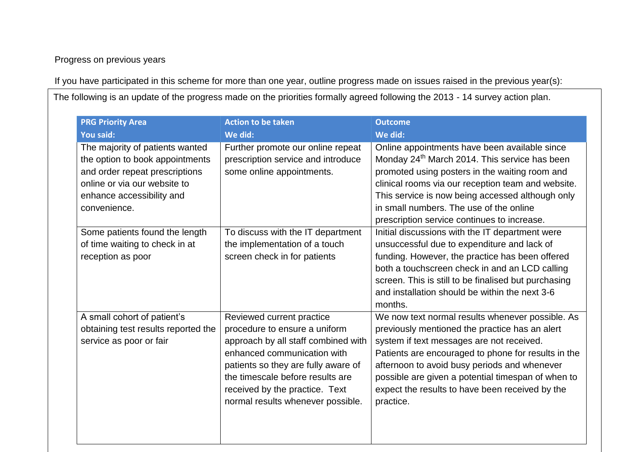Progress on previous years

If you have participated in this scheme for more than one year, outline progress made on issues raised in the previous year(s):

The following is an update of the progress made on the priorities formally agreed following the 2013 - 14 survey action plan.

| <b>PRG Priority Area</b>                                                                                                                                                          | <b>Action to be taken</b>                                                                                                                                                                                                                                                          | <b>Outcome</b>                                                                                                                                                                                                                                                                                                                                                               |
|-----------------------------------------------------------------------------------------------------------------------------------------------------------------------------------|------------------------------------------------------------------------------------------------------------------------------------------------------------------------------------------------------------------------------------------------------------------------------------|------------------------------------------------------------------------------------------------------------------------------------------------------------------------------------------------------------------------------------------------------------------------------------------------------------------------------------------------------------------------------|
| <b>You said:</b>                                                                                                                                                                  | We did:                                                                                                                                                                                                                                                                            | We did:                                                                                                                                                                                                                                                                                                                                                                      |
| The majority of patients wanted<br>the option to book appointments<br>and order repeat prescriptions<br>online or via our website to<br>enhance accessibility and<br>convenience. | Further promote our online repeat<br>prescription service and introduce<br>some online appointments.                                                                                                                                                                               | Online appointments have been available since<br>Monday 24 <sup>th</sup> March 2014. This service has been<br>promoted using posters in the waiting room and<br>clinical rooms via our reception team and website.<br>This service is now being accessed although only<br>in small numbers. The use of the online<br>prescription service continues to increase.             |
| Some patients found the length<br>of time waiting to check in at<br>reception as poor                                                                                             | To discuss with the IT department<br>the implementation of a touch<br>screen check in for patients                                                                                                                                                                                 | Initial discussions with the IT department were<br>unsuccessful due to expenditure and lack of<br>funding. However, the practice has been offered<br>both a touchscreen check in and an LCD calling<br>screen. This is still to be finalised but purchasing<br>and installation should be within the next 3-6<br>months.                                                     |
| A small cohort of patient's<br>obtaining test results reported the<br>service as poor or fair                                                                                     | Reviewed current practice<br>procedure to ensure a uniform<br>approach by all staff combined with<br>enhanced communication with<br>patients so they are fully aware of<br>the timescale before results are<br>received by the practice. Text<br>normal results whenever possible. | We now text normal results whenever possible. As<br>previously mentioned the practice has an alert<br>system if text messages are not received.<br>Patients are encouraged to phone for results in the<br>afternoon to avoid busy periods and whenever<br>possible are given a potential timespan of when to<br>expect the results to have been received by the<br>practice. |